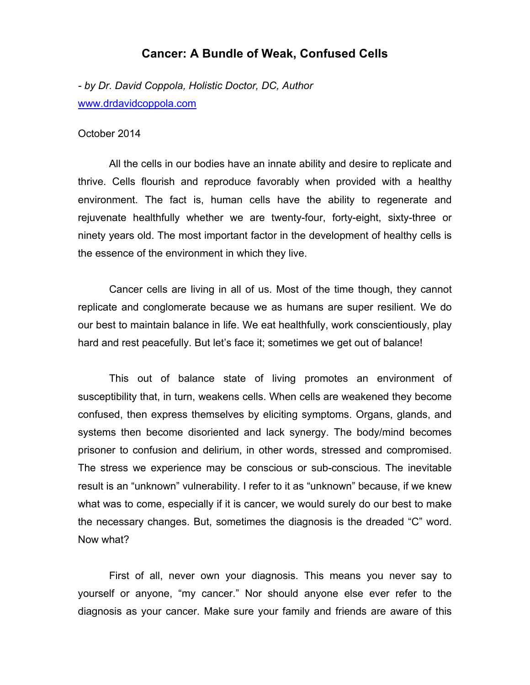## **Cancer: A Bundle of Weak, Confused Cells**

*- by Dr. David Coppola, Holistic Doctor, DC, Author* www.drdavidcoppola.com

## October 2014

All the cells in our bodies have an innate ability and desire to replicate and thrive. Cells flourish and reproduce favorably when provided with a healthy environment. The fact is, human cells have the ability to regenerate and rejuvenate healthfully whether we are twenty-four, forty-eight, sixty-three or ninety years old. The most important factor in the development of healthy cells is the essence of the environment in which they live.

Cancer cells are living in all of us. Most of the time though, they cannot replicate and conglomerate because we as humans are super resilient. We do our best to maintain balance in life. We eat healthfully, work conscientiously, play hard and rest peacefully. But let's face it; sometimes we get out of balance!

This out of balance state of living promotes an environment of susceptibility that, in turn, weakens cells. When cells are weakened they become confused, then express themselves by eliciting symptoms. Organs, glands, and systems then become disoriented and lack synergy. The body/mind becomes prisoner to confusion and delirium, in other words, stressed and compromised. The stress we experience may be conscious or sub-conscious. The inevitable result is an "unknown" vulnerability. I refer to it as "unknown" because, if we knew what was to come, especially if it is cancer, we would surely do our best to make the necessary changes. But, sometimes the diagnosis is the dreaded "C" word. Now what?

First of all, never own your diagnosis. This means you never say to yourself or anyone, "my cancer." Nor should anyone else ever refer to the diagnosis as your cancer. Make sure your family and friends are aware of this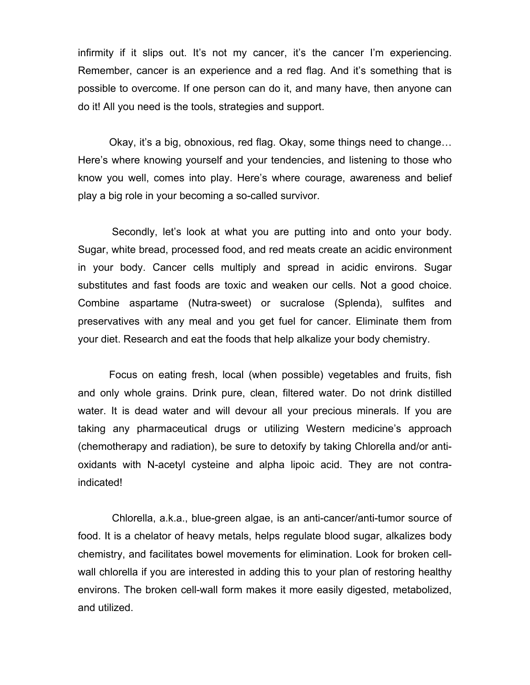infirmity if it slips out. It's not my cancer, it's the cancer I'm experiencing. Remember, cancer is an experience and a red flag. And it's something that is possible to overcome. If one person can do it, and many have, then anyone can do it! All you need is the tools, strategies and support.

Okay, it's a big, obnoxious, red flag. Okay, some things need to change… Here's where knowing yourself and your tendencies, and listening to those who know you well, comes into play. Here's where courage, awareness and belief play a big role in your becoming a so-called survivor.

 Secondly, let's look at what you are putting into and onto your body. Sugar, white bread, processed food, and red meats create an acidic environment in your body. Cancer cells multiply and spread in acidic environs. Sugar substitutes and fast foods are toxic and weaken our cells. Not a good choice. Combine aspartame (Nutra-sweet) or sucralose (Splenda), sulfites and preservatives with any meal and you get fuel for cancer. Eliminate them from your diet. Research and eat the foods that help alkalize your body chemistry.

Focus on eating fresh, local (when possible) vegetables and fruits, fish and only whole grains. Drink pure, clean, filtered water. Do not drink distilled water. It is dead water and will devour all your precious minerals. If you are taking any pharmaceutical drugs or utilizing Western medicine's approach (chemotherapy and radiation), be sure to detoxify by taking Chlorella and/or antioxidants with N-acetyl cysteine and alpha lipoic acid. They are not contraindicated!

 Chlorella, a.k.a., blue-green algae, is an anti-cancer/anti-tumor source of food. It is a chelator of heavy metals, helps regulate blood sugar, alkalizes body chemistry, and facilitates bowel movements for elimination. Look for broken cellwall chlorella if you are interested in adding this to your plan of restoring healthy environs. The broken cell-wall form makes it more easily digested, metabolized, and utilized.